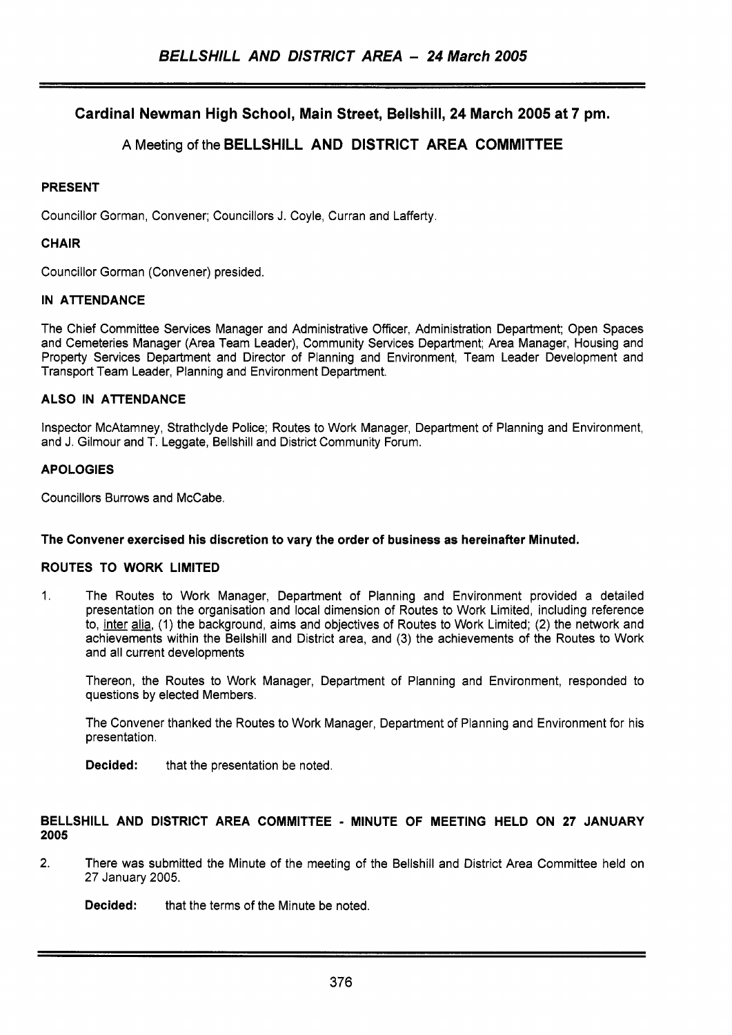# **Cardinal Newman High School, Main Street, Bellshill, 24 March 2005 at 7 pm.**

# **A** Meeting of the **BELLSHILL AND DISTRICT AREA COMMITTEE**

# **PRESENT**

Councillor Gorman, Convener; Councillors J. Coyle, Curran and Lafferty.

# **CHAIR**

Councillor Gorman (Convener) presided.

# **IN ATTENDANCE**

The Chief Committee Services Manager and Administrative Officer, Administration Department; Open Spaces and Cemeteries Manager (Area Team Leader), Community Services Department; Area Manager, Housing and Property Services Department and Director of Planning and Environment, Team Leader Development and Transport Team Leader, Planning and Environment Department.

# **ALSO IN ATTENDANCE**

Inspector McAtamney, Strathclyde Police; Routes to Work Manager, Department of Planning and Environment, and J. Gilmour and T. Leggate, Bellshill and District Community Forum.

### **APOLOGIES**

Councillors Burrows and McCabe.

# **The Convener exercised his discretion to vary the order of business as hereinafter Minuted.**

# **ROUTES TO WORK LIMITED**

1. The Routes to Work Manager, Department of Planning and Environment provided a detailed presentation on the organisation and local dimension of Routes to Work Limited, including reference to, inter alia, (1) the background, aims and objectives of Routes to Work Limited; **(2)** the network and achievements within the Bellshill and District area, and (3) the achievements of the Routes to Work and all current developments

Thereon, the Routes to Work Manager, Department of Planning and Environment, responded to questions by elected Members.

The Convener thanked the Routes to Work Manager, Department of Planning and Environment for his presentation.

**Decided:** that the presentation be noted.

### **BELLSHILL AND DISTRICT AREA COMMITTEE** - **MINUTE OF MEETING HELD ON 27 JANUARY 2005**

**2.** There was submitted the Minute of the meeting of the Bellshill and District Area Committee held on 27 January 2005.

**Decided:** that the terms of the Minute be noted.